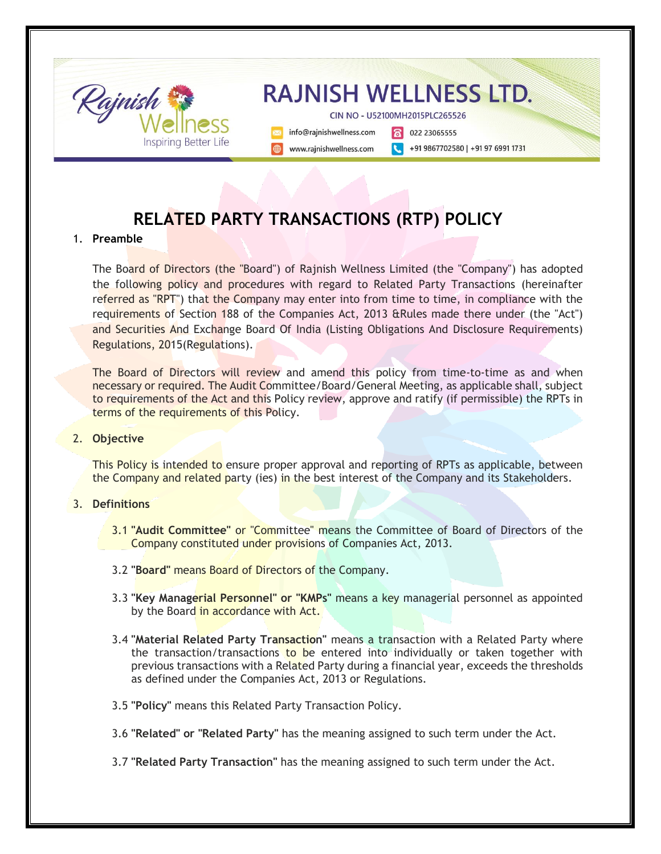

# **RELATED PARTY TRANSACTIONS (RTP) POLICY**

### 1. **Preamble**

The Board of Directors (the "Board") of Rajnish Wellness Limited (the "Company") has adopted the following policy and procedures with regard to Related Party Transactions (hereinafter referred as "RPT") that the Company may enter into from time to time, in compliance with the requirements of Section 188 of the Companies Act, 2013 &Rules made there under (the "Act") and Securities And Exchange Board Of India (Listing Obligations And Disclosure Requirements) Regulations, 2015(Regulations).

The Board of Directors will review and amend this policy from time-to-time as and when necessary or required. The Audit Committee/Board/General Meeting, as applicable shall, subject to requirements of the Act and this Policy review, approve and ratify (if permissible) the RPTs in terms of the requirements of this Policy.

#### 2. **Objective**

This Policy is intended to ensure proper approval and reporting of RPTs as applicable, between the Company and related party (ies) in the best interest of the Company and its Stakeholders.

#### 3. **Definitions**

- 3.1 **"Audit Committee"** or "Committee" means the Committee of Board of Directors of the Company constituted under provisions of Companies Act, 2013.
- 3.2 **"Board"** means Board of Directors of the Company.
- 3.3 **"Key Managerial Personnel" or "KMPs"** means a key managerial personnel as appointed by the Board in accordance with Act.
- 3.4 **"Material Related Party Transaction"** means a transaction with a Related Party where the transaction/transactions to be entered into individually or taken together with previous transactions with a Related Party during a financial year, exceeds the thresholds as defined under the Companies Act, 2013 or Regulations.
- 3.5 **"Policy"** means this Related Party Transaction Policy.
- 3.6 **"Related" or "Related Party"** has the meaning assigned to such term under the Act.
- 3.7 **"Related Party Transaction"** has the meaning assigned to such term under the Act.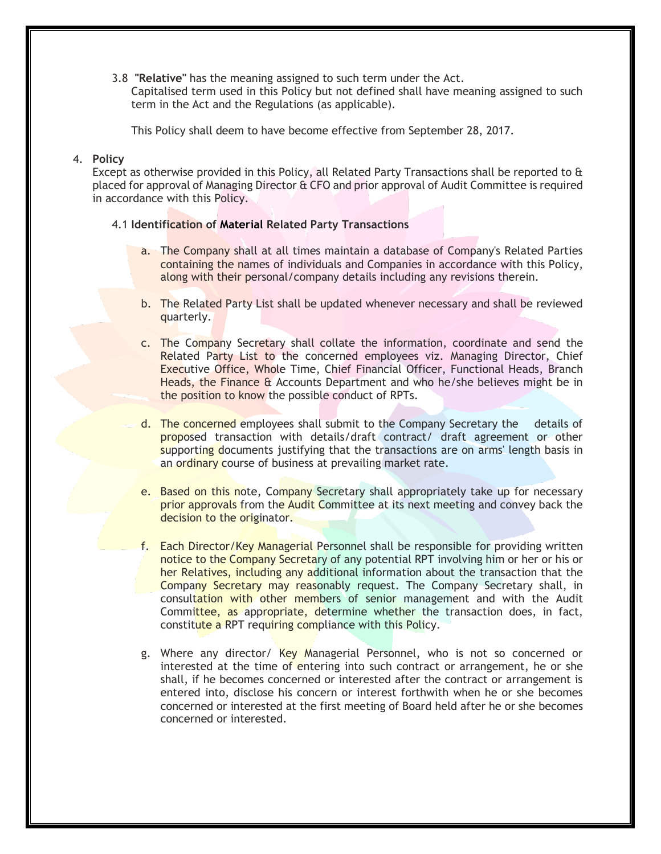3.8 **"Relative"** has the meaning assigned to such term under the Act.

Capitalised term used in this Policy but not defined shall have meaning assigned to such term in the Act and the Regulations (as applicable).

This Policy shall deem to have become effective from September 28, 2017.

#### 4. **Policy**

Except as otherwise provided in this Policy, all Related Party Transactions shall be reported to & placed for approval of Managing Director & CFO and prior approval of Audit Committee is required in accordance with this Policy.

### 4.1 **Identification of Material Related Party Transactions**

- a. The Company shall at all times maintain a database of Company's Related Parties containing the names of individuals and Companies in accordance with this Policy, along with their personal/company details including any revisions therein.
- b. The Related Party List shall be updated whenever necessary and shall be reviewed quarterly.
- c. The Company Secretary shall collate the information, coordinate and send the Related Party List to the concerned employees viz. Managing Director, Chief Executive Office, Whole Time, Chief Financial Officer, Functional Heads, Branch Heads, the Finance & Accounts Department and who he/she believes might be in the position to know the possible conduct of RPTs.
- d. The concerned employees shall submit to the Company Secretary the details of proposed transaction with details/draft contract/ draft agreement or other supporting documents justifying that the transactions are on arms' length basis in an ordinary course of business at prevailing market rate.
- e. Based on this note, Company Secretary shall appropriately take up for necessary prior approvals from the Audit Committee at its next meeting and convey back the decision to the originator.
- f. Each Director/Key Managerial Personnel shall be responsible for providing written notice to the Company Secretary of any potential RPT involving him or her or his or her Relatives, including any additional information about the transaction that the Company Secretary may reasonably request. The Company Secretary shall, in consultation with other members of senior management and with the Audit Committee, as appropriate, determine whether the transaction does, in fact, constitute a RPT requiring compliance with this Policy.
- g. Where any director/ Key Managerial Personnel, who is not so concerned or interested at the time of entering into such contract or arrangement, he or she shall, if he becomes concerned or interested after the contract or arrangement is entered into, disclose his concern or interest forthwith when he or she becomes concerned or interested at the first meeting of Board held after he or she becomes concerned or interested.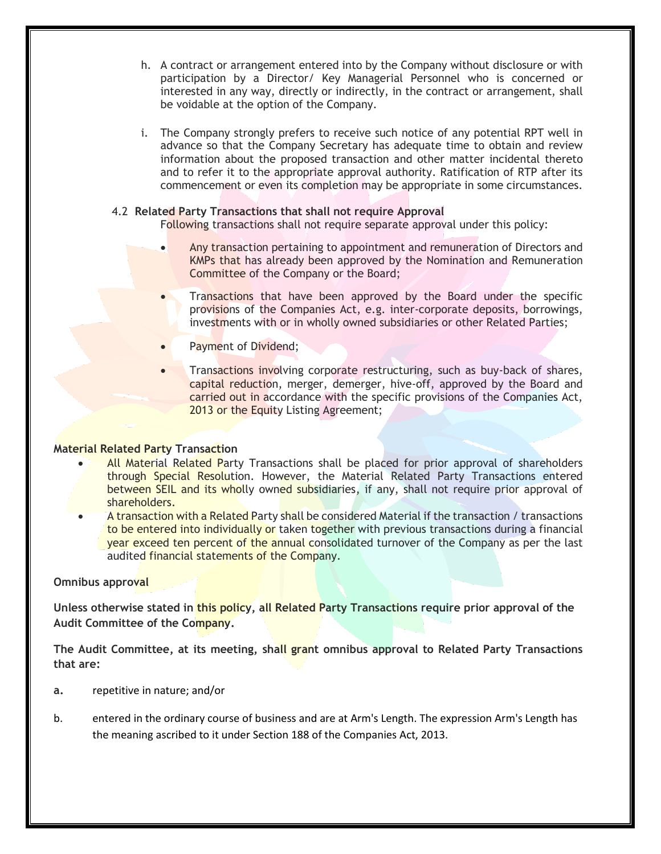- h. A contract or arrangement entered into by the Company without disclosure or with participation by a Director/ Key Managerial Personnel who is concerned or interested in any way, directly or indirectly, in the contract or arrangement, shall be voidable at the option of the Company.
- i. The Company strongly prefers to receive such notice of any potential RPT well in advance so that the Company Secretary has adequate time to obtain and review information about the proposed transaction and other matter incidental thereto and to refer it to the appropriate approval authority. Ratification of RTP after its commencement or even its completion may be appropriate in some circumstances.

### 4.2 **Related Party Transactions that shall not require Approval**

Following transactions shall not require separate approval under this policy:

- Any transaction pertaining to appointment and remuneration of Directors and KMPs that has already been approved by the Nomination and Remuneration Committee of the Company or the Board;
- Transactions that have been approved by the Board under the specific provisions of the Companies Act, e.g. inter-corporate deposits, borrowings, investments with or in wholly owned subsidiaries or other Related Parties;
- Payment of Dividend;
- Transactions involving corporate restructuring, such as buy-back of shares, capital reduction, merger, demerger, hive-off, approved by the Board and carried out in accordance with the specific provisions of the Companies Act, 2013 or the Equity Listing Agreement;

#### **Material Related Party Transaction**

- All Material Related Party Transactions shall be placed for prior approval of shareholders through Special Resolution. However, the Material Related Party Transactions entered between SEIL and its wholly owned subsidiaries, if any, shall not require prior approval of shareholders.
- A transaction with a Related Party shall be considered Material if the transaction / transactions to be entered into individually or taken together with previous transactions during a financial year exceed ten percent of the annual consolidated turnover of the Company as per the last audited financial statements of the Company.

#### **Omnibus approval**

**Unless otherwise stated in this policy, all Related Party Transactions require prior approval of the Audit Committee of the Company.**

**The Audit Committee, at its meeting, shall grant omnibus approval to Related Party Transactions that are:**

- **a.** repetitive in nature; and/or
- b. entered in the ordinary course of business and are at Arm's Length. The expression Arm's Length has the meaning ascribed to it under Section 188 of the Companies Act, 2013.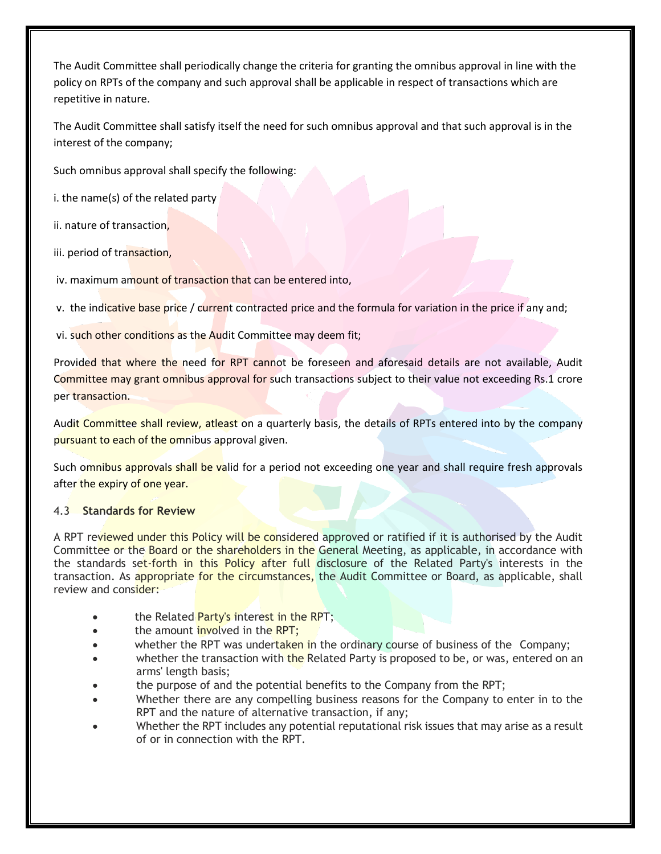The Audit Committee shall periodically change the criteria for granting the omnibus approval in line with the policy on RPTs of the company and such approval shall be applicable in respect of transactions which are repetitive in nature.

The Audit Committee shall satisfy itself the need for such omnibus approval and that such approval is in the interest of the company;

Such omnibus approval shall specify the following:

i. the name(s) of the related party

ii. nature of transaction,

iii. period of transaction,

iv. maximum amount of transaction that can be entered into,

v. the indicative base price / current contracted price and the formula for variation in the price if any and;

vi. such other conditions as the Audit Committee may deem fit;

Provided that where the need for RPT cannot be foreseen and aforesaid details are not available, Audit Committee may grant omnibus approval for such transactions subject to their value not exceeding Rs.1 crore per transaction.

Audit Committee shall review, atleast on a quarterly basis, the details of RPTs entered into by the company pursuant to each of the omnibus approval given.

Such omnibus approvals shall be valid for a period not exceeding one year and shall require fresh approvals after the expiry of one year.

#### 4.3 **Standards for Review**

A RPT reviewed under this Policy will be considered approved or ratified if it is authorised by the Audit Committee or the Board or the shareholders in the General Meeting, as applicable, in accordance with the standards set-forth in this Policy after full disclosure of the Related Party's interests in the transaction. As appropriate for the circumstances, the Audit Committee or Board, as applicable, shall review and consider:

- the Related Party's interest in the RPT;
- the amount **involved** in the RPT;
- whether the RPT was undertaken in the ordinary course of business of the Company;
- whether the transaction with the Related Party is proposed to be, or was, entered on an arms' length basis;
- the purpose of and the potential benefits to the Company from the RPT;
- Whether there are any compelling business reasons for the Company to enter in to the RPT and the nature of alternative transaction, if any;
- Whether the RPT includes any potential reputational risk issues that may arise as a result of or in connection with the RPT.